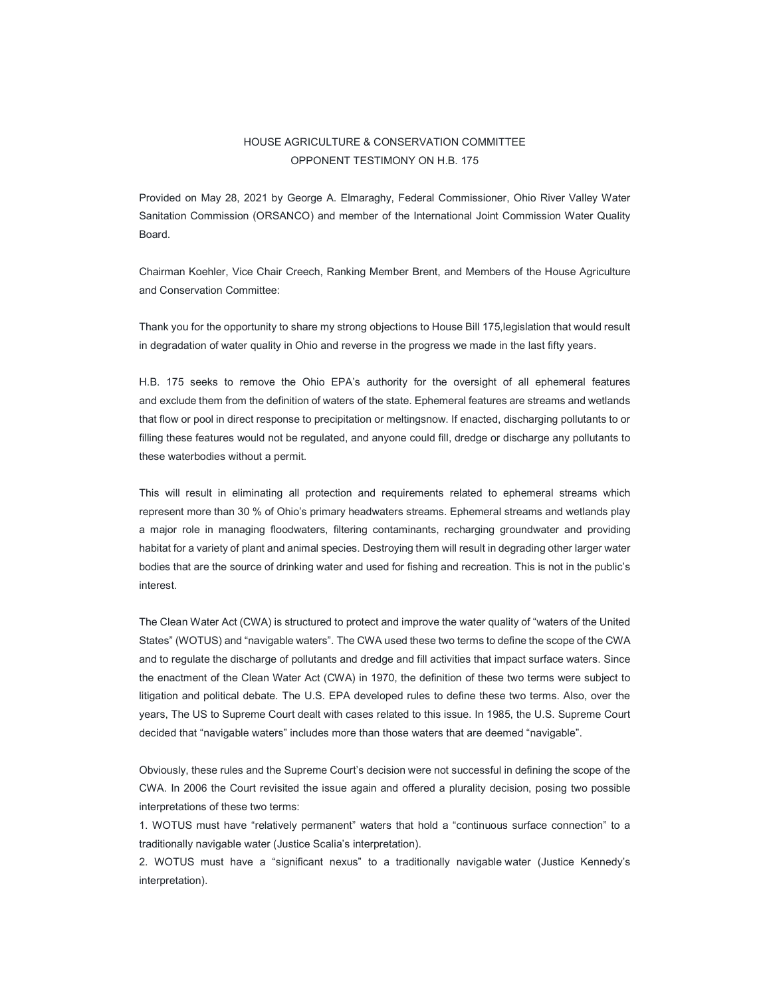## HOUSE AGRICULTURE & CONSERVATION COMMITTEE OPPONENT TESTIMONY ON H.B. 175

Provided on May 28, 2021 by George A. Elmaraghy, Federal Commissioner, Ohio River Valley Water Sanitation Commission (ORSANCO) and member of the International Joint Commission Water Quality Board.

Chairman Koehler, Vice Chair Creech, Ranking Member Brent, and Members of the House Agriculture and Conservation Committee:

Thank you for the opportunity to share my strong objections to House Bill 175,legislation that would result in degradation of water quality in Ohio and reverse in the progress we made in the last fifty years.

H.B. 175 seeks to remove the Ohio EPA's authority for the oversight of all ephemeral features and exclude them from the definition of waters of the state. Ephemeral features are streams and wetlands that flow or pool in direct response to precipitation or meltingsnow. If enacted, discharging pollutants to or filling these features would not be regulated, and anyone could fill, dredge or discharge any pollutants to these waterbodies without a permit.

This will result in eliminating all protection and requirements related to ephemeral streams which represent more than 30 % of Ohio's primary headwaters streams. Ephemeral streams and wetlands play a major role in managing floodwaters, filtering contaminants, recharging groundwater and providing habitat for a variety of plant and animal species. Destroying them will result in degrading other larger water bodies that are the source of drinking water and used for fishing and recreation. This is not in the public's interest.

The Clean Water Act (CWA) is structured to protect and improve the water quality of "waters of the United States" (WOTUS) and "navigable waters". The CWA used these two terms to define the scope of the CWA and to regulate the discharge of pollutants and dredge and fill activities that impact surface waters. Since the enactment of the Clean Water Act (CWA) in 1970, the definition of these two terms were subject to litigation and political debate. The U.S. EPA developed rules to define these two terms. Also, over the years, The US to Supreme Court dealt with cases related to this issue. In 1985, the U.S. Supreme Court decided that "navigable waters" includes more than those waters that are deemed "navigable".

Obviously, these rules and the Supreme Court's decision were not successful in defining the scope of the CWA. In 2006 the Court revisited the issue again and offered a plurality decision, posing two possible interpretations of these two terms:

1. WOTUS must have "relatively permanent" waters that hold a "continuous surface connection" to a traditionally navigable water (Justice Scalia's interpretation).

2. WOTUS must have a "significant nexus" to a traditionally navigable water (Justice Kennedy's interpretation).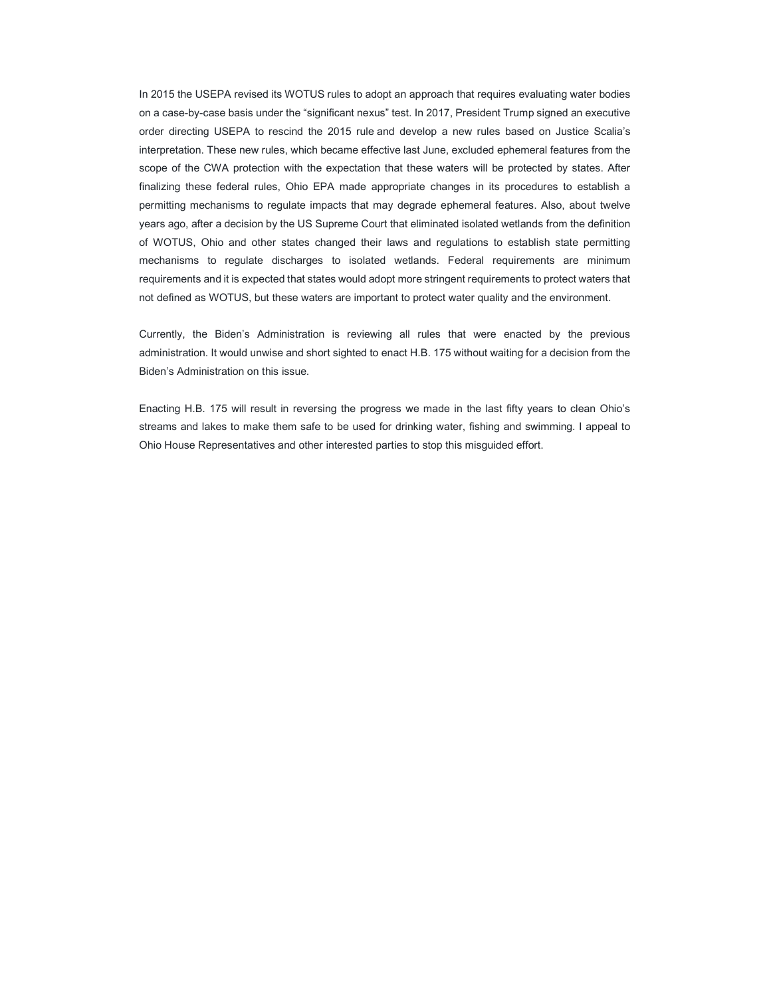In 2015 the USEPA revised its WOTUS rules to adopt an approach that requires evaluating water bodies on a case-by-case basis under the "significant nexus" test. In 2017, President Trump signed an executive order directing USEPA to rescind the 2015 rule and develop a new rules based on Justice Scalia's interpretation. These new rules, which became effective last June, excluded ephemeral features from the scope of the CWA protection with the expectation that these waters will be protected by states. After finalizing these federal rules, Ohio EPA made appropriate changes in its procedures to establish a permitting mechanisms to regulate impacts that may degrade ephemeral features. Also, about twelve years ago, after a decision by the US Supreme Court that eliminated isolated wetlands from the definition of WOTUS, Ohio and other states changed their laws and regulations to establish state permitting mechanisms to regulate discharges to isolated wetlands. Federal requirements are minimum requirements and it is expected that states would adopt more stringent requirements to protect waters that not defined as WOTUS, but these waters are important to protect water quality and the environment.

Currently, the Biden's Administration is reviewing all rules that were enacted by the previous administration. It would unwise and short sighted to enact H.B. 175 without waiting for a decision from the Biden's Administration on this issue.

Enacting H.B. 175 will result in reversing the progress we made in the last fifty years to clean Ohio's streams and lakes to make them safe to be used for drinking water, fishing and swimming. I appeal to Ohio House Representatives and other interested parties to stop this misguided effort.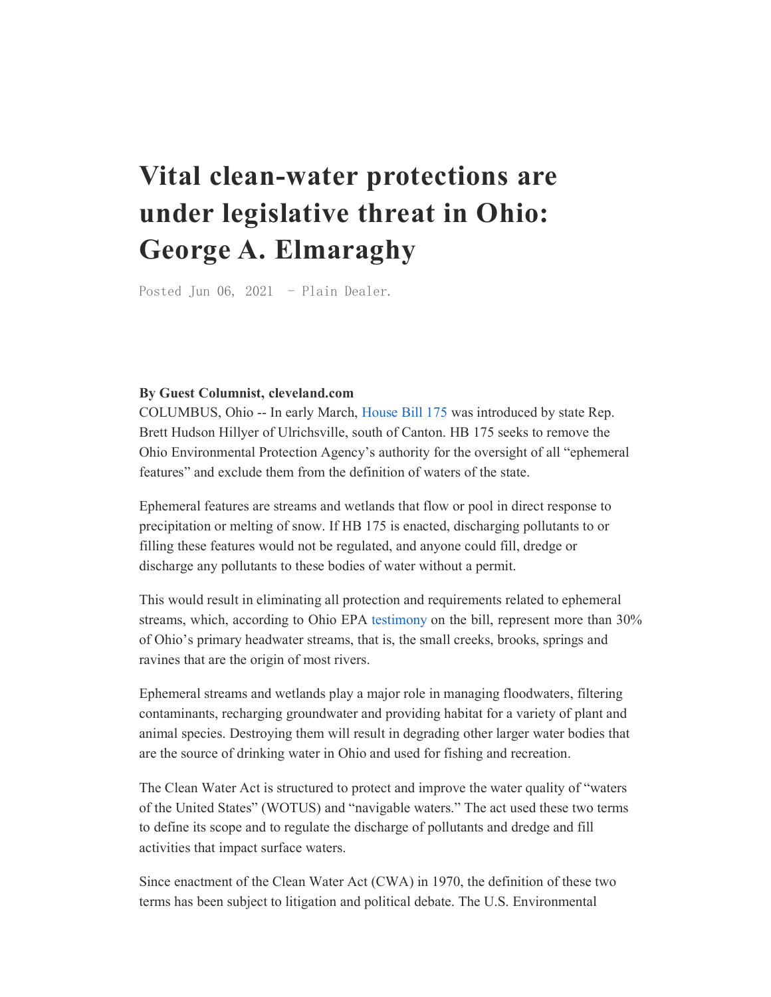## Vital clean-water protections are under legislative threat in Ohio: George A. Elmaraghy

Posted Jun 06, 2021 - Plain Dealer.

## By Guest Columnist, cleveland.com

COLUMBUS, Ohio -- In early March, House Bill 175 was introduced by state Rep. Brett Hudson Hillyer of Ulrichsville, south of Canton. HB 175 seeks to remove the Ohio Environmental Protection Agency's authority for the oversight of all "ephemeral features" and exclude them from the definition of waters of the state.

Ephemeral features are streams and wetlands that flow or pool in direct response to precipitation or melting of snow. If HB 175 is enacted, discharging pollutants to or filling these features would not be regulated, and anyone could fill, dredge or discharge any pollutants to these bodies of water without a permit.

This would result in eliminating all protection and requirements related to ephemeral streams, which, according to Ohio EPA testimony on the bill, represent more than 30% of Ohio's primary headwater streams, that is, the small creeks, brooks, springs and ravines that are the origin of most rivers.

Ephemeral streams and wetlands play a major role in managing floodwaters, filtering contaminants, recharging groundwater and providing habitat for a variety of plant and animal species. Destroying them will result in degrading other larger water bodies that are the source of drinking water in Ohio and used for fishing and recreation.

The Clean Water Act is structured to protect and improve the water quality of "waters of the United States" (WOTUS) and "navigable waters." The act used these two terms to define its scope and to regulate the discharge of pollutants and dredge and fill activities that impact surface waters.

Since enactment of the Clean Water Act (CWA) in 1970, the definition of these two terms has been subject to litigation and political debate. The U.S. Environmental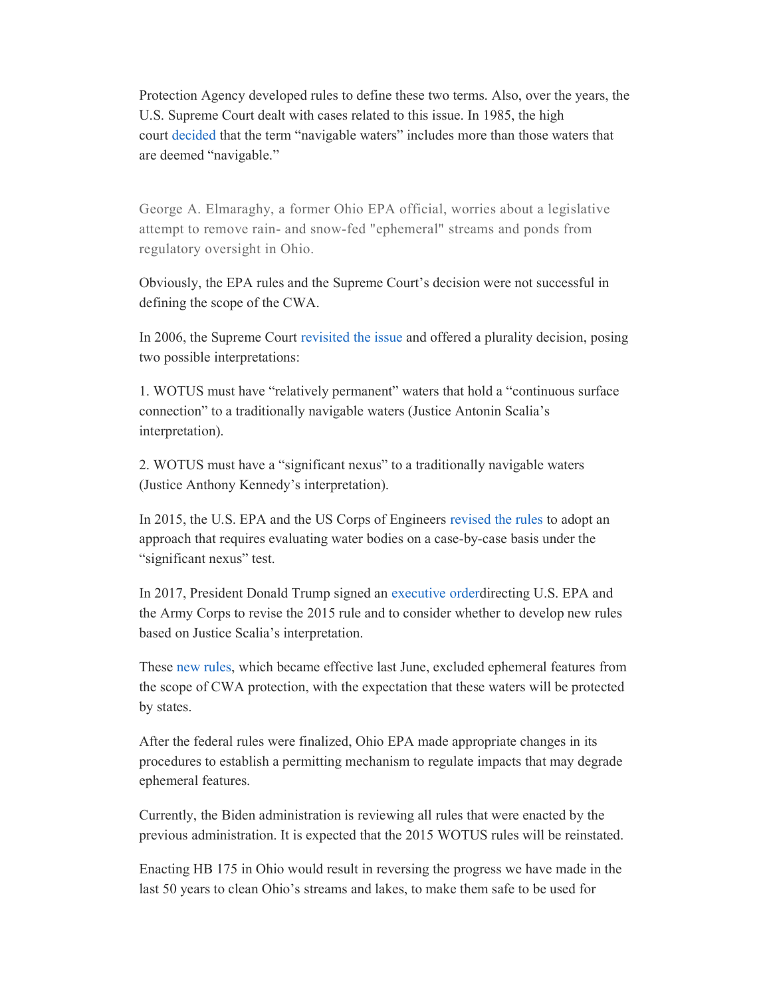Protection Agency developed rules to define these two terms. Also, over the years, the U.S. Supreme Court dealt with cases related to this issue. In 1985, the high court decided that the term "navigable waters" includes more than those waters that are deemed "navigable."

George A. Elmaraghy, a former Ohio EPA official, worries about a legislative attempt to remove rain- and snow-fed "ephemeral" streams and ponds from regulatory oversight in Ohio.

Obviously, the EPA rules and the Supreme Court's decision were not successful in defining the scope of the CWA.

In 2006, the Supreme Court revisited the issue and offered a plurality decision, posing two possible interpretations:

1. WOTUS must have "relatively permanent" waters that hold a "continuous surface connection" to a traditionally navigable waters (Justice Antonin Scalia's interpretation).

2. WOTUS must have a "significant nexus" to a traditionally navigable waters (Justice Anthony Kennedy's interpretation).

In 2015, the U.S. EPA and the US Corps of Engineers revised the rules to adopt an approach that requires evaluating water bodies on a case-by-case basis under the "significant nexus" test.

In 2017, President Donald Trump signed an executive orderdirecting U.S. EPA and the Army Corps to revise the 2015 rule and to consider whether to develop new rules based on Justice Scalia's interpretation.

These new rules, which became effective last June, excluded ephemeral features from the scope of CWA protection, with the expectation that these waters will be protected by states.

After the federal rules were finalized, Ohio EPA made appropriate changes in its procedures to establish a permitting mechanism to regulate impacts that may degrade ephemeral features.

Currently, the Biden administration is reviewing all rules that were enacted by the previous administration. It is expected that the 2015 WOTUS rules will be reinstated.

Enacting HB 175 in Ohio would result in reversing the progress we have made in the last 50 years to clean Ohio's streams and lakes, to make them safe to be used for